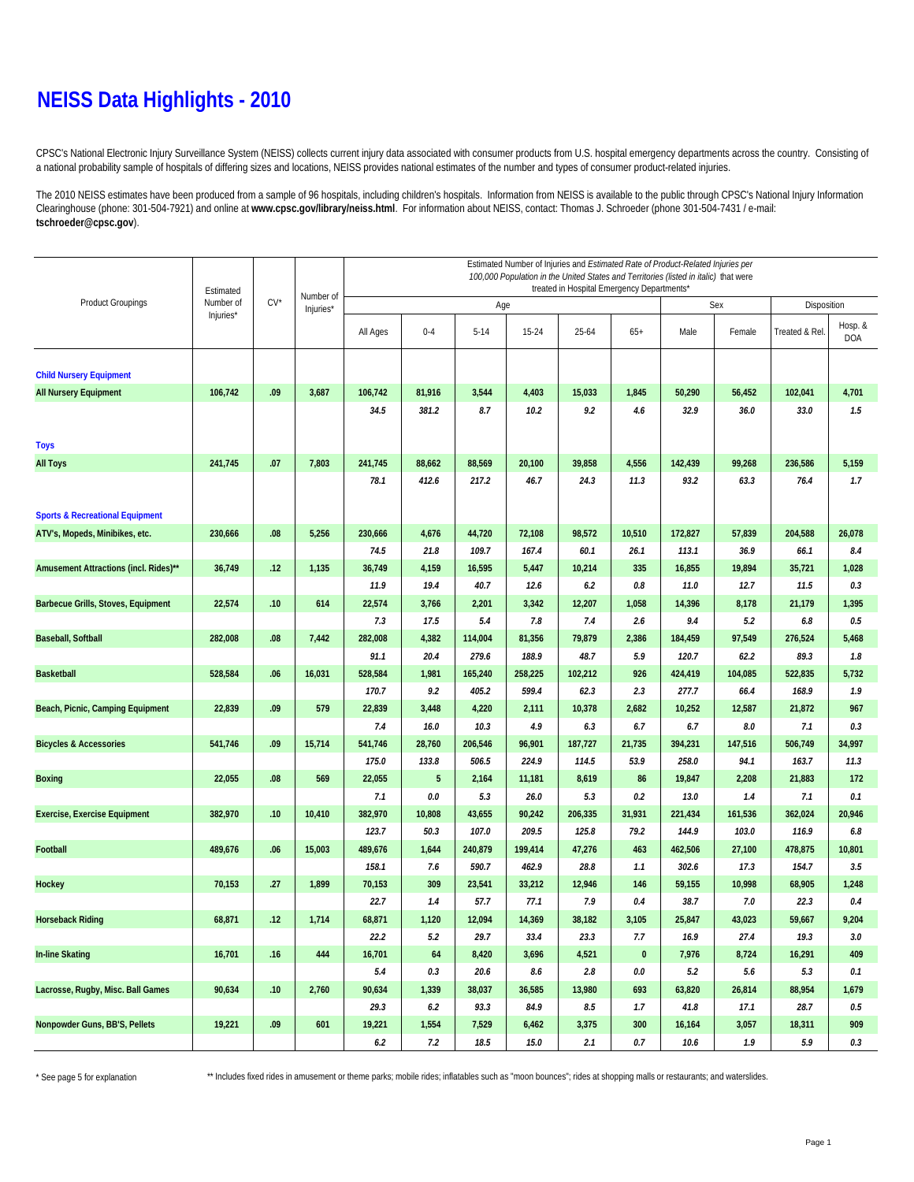#### **NEISS Data Highlights - 2010**

CPSC's National Electronic Injury Surveillance System (NEISS) collects current injury data associated with consumer products from U.S. hospital emergency departments across the country. Consisting of a national probability sample of hospitals of differing sizes and locations, NEISS provides national estimates of the number and types of consumer product-related injuries.

The 2010 NEISS estimates have been produced from a sample of 96 hospitals, including children's hospitals. Information from NEISS is available to the public through CPSC's National Injury Information Clearinghouse (phone: 301-504-7921) and online at **www.cpsc.gov/library/neiss.html**. For information about NEISS, contact: Thomas J. Schroeder (phone 301-504-7431 / e-mail: **tschroeder@cpsc.gov**).

|                                            |                        |        |                        | Estimated Number of Injuries and Estimated Rate of Product-Related Injuries per                                                    |         |          |           |         |             |             |         |                |                       |  |
|--------------------------------------------|------------------------|--------|------------------------|------------------------------------------------------------------------------------------------------------------------------------|---------|----------|-----------|---------|-------------|-------------|---------|----------------|-----------------------|--|
|                                            | Estimated<br>Number of | $CV^*$ | Number of<br>Injuries* | 100,000 Population in the United States and Territories (listed in italic) that were<br>treated in Hospital Emergency Departments* |         |          |           |         |             |             |         |                |                       |  |
| <b>Product Groupings</b>                   |                        |        |                        |                                                                                                                                    |         | Age      |           |         | Sex         | Disposition |         |                |                       |  |
|                                            | Injuries*              |        |                        | All Ages                                                                                                                           | $0 - 4$ | $5 - 14$ | $15 - 24$ | 25-64   | $65+$       | Male        | Female  | Treated & Rel. | Hosp. &<br><b>DOA</b> |  |
|                                            |                        |        |                        |                                                                                                                                    |         |          |           |         |             |             |         |                |                       |  |
| <b>Child Nursery Equipment</b>             |                        |        |                        |                                                                                                                                    |         |          |           |         |             |             |         |                |                       |  |
| <b>All Nursery Equipment</b>               | 106,742                | .09    | 3,687                  | 106,742                                                                                                                            | 81,916  | 3,544    | 4,403     | 15,033  | 1,845       | 50,290      | 56,452  | 102,041        | 4,701                 |  |
|                                            |                        |        |                        | 34.5                                                                                                                               | 381.2   | 8.7      | 10.2      | 9.2     | 4.6         | 32.9        | 36.0    | 33.0           | 1.5                   |  |
| <b>Toys</b>                                |                        |        |                        |                                                                                                                                    |         |          |           |         |             |             |         |                |                       |  |
| <b>All Toys</b>                            | 241,745                | .07    | 7,803                  | 241,745                                                                                                                            | 88,662  | 88,569   | 20,100    | 39,858  | 4,556       | 142,439     | 99,268  | 236,586        | 5,159                 |  |
|                                            |                        |        |                        | 78.1                                                                                                                               | 412.6   | 217.2    | 46.7      | 24.3    | 11.3        | 93.2        | 63.3    | 76.4           | 1.7                   |  |
|                                            |                        |        |                        |                                                                                                                                    |         |          |           |         |             |             |         |                |                       |  |
| <b>Sports &amp; Recreational Equipment</b> |                        |        |                        |                                                                                                                                    |         |          |           |         |             |             |         |                |                       |  |
| ATV's, Mopeds, Minibikes, etc.             | 230,666                | .08    | 5,256                  | 230,666                                                                                                                            | 4,676   | 44,720   | 72,108    | 98,572  | 10,510      | 172,827     | 57,839  | 204,588        | 26,078                |  |
|                                            |                        |        |                        | 74.5                                                                                                                               | 21.8    | 109.7    | 167.4     | 60.1    | 26.1        | 113.1       | 36.9    | 66.1           | 8.4                   |  |
| Amusement Attractions (incl. Rides)**      | 36,749                 | .12    | 1,135                  | 36,749                                                                                                                             | 4,159   | 16,595   | 5,447     | 10,214  | 335         | 16,855      | 19,894  | 35,721         | 1,028                 |  |
|                                            |                        |        |                        | 11.9                                                                                                                               | 19.4    | 40.7     | 12.6      | 6.2     | 0.8         | 11.0        | 12.7    | 11.5           | 0.3                   |  |
| Barbecue Grills, Stoves, Equipment         | 22,574                 | .10    | 614                    | 22,574                                                                                                                             | 3,766   | 2,201    | 3,342     | 12,207  | 1,058       | 14,396      | 8,178   | 21,179         | 1,395                 |  |
|                                            |                        |        |                        | 7.3                                                                                                                                | 17.5    | 5.4      | 7.8       | 7.4     | 2.6         | 9.4         | 5.2     | $6.8\,$        | 0.5                   |  |
| <b>Baseball, Softball</b>                  | 282,008                | .08    | 7,442                  | 282,008                                                                                                                            | 4,382   | 114,004  | 81,356    | 79,879  | 2,386       | 184,459     | 97,549  | 276,524        | 5,468                 |  |
|                                            |                        |        |                        | 91.1                                                                                                                               | 20.4    | 279.6    | 188.9     | 48.7    | 5.9         | 120.7       | 62.2    | 89.3           | 1.8                   |  |
| <b>Basketball</b>                          | 528,584                | .06    | 16,031                 | 528,584                                                                                                                            | 1,981   | 165,240  | 258,225   | 102,212 | 926         | 424,419     | 104,085 | 522,835        | 5,732                 |  |
|                                            |                        |        |                        | 170.7                                                                                                                              | 9.2     | 405.2    | 599.4     | 62.3    | 2.3         | 277.7       | 66.4    | 168.9          | 1.9                   |  |
| Beach, Picnic, Camping Equipment           | 22,839                 | .09    | 579                    | 22,839                                                                                                                             | 3,448   | 4,220    | 2,111     | 10,378  | 2,682       | 10,252      | 12,587  | 21,872         | 967                   |  |
|                                            |                        |        |                        | 7.4                                                                                                                                | 16.0    | 10.3     | 4.9       | 6.3     | 6.7         | 6.7         | 8.0     | 7.1            | 0.3                   |  |
| <b>Bicycles &amp; Accessories</b>          | 541,746                | .09    | 15,714                 | 541,746                                                                                                                            | 28,760  | 206,546  | 96,901    | 187,727 | 21,735      | 394,231     | 147,516 | 506,749        | 34,997                |  |
|                                            |                        |        |                        | 175.0                                                                                                                              | 133.8   | 506.5    | 224.9     | 114.5   | 53.9        | 258.0       | 94.1    | 163.7          | 11.3                  |  |
| <b>Boxing</b>                              | 22,055                 | .08    | 569                    | 22,055                                                                                                                             | 5       | 2,164    | 11,181    | 8,619   | 86          | 19,847      | 2,208   | 21,883         | 172                   |  |
|                                            |                        |        |                        | 7.1                                                                                                                                | $0.0\,$ | 5.3      | 26.0      | 5.3     | 0.2         | 13.0        | 1.4     | 7.1            | 0.1                   |  |
| <b>Exercise, Exercise Equipment</b>        | 382,970                | .10    | 10,410                 | 382,970                                                                                                                            | 10,808  | 43,655   | 90,242    | 206,335 | 31,931      | 221,434     | 161,536 | 362,024        | 20,946                |  |
|                                            |                        |        |                        | 123.7                                                                                                                              | 50.3    | 107.0    | 209.5     | 125.8   | 79.2        | 144.9       | 103.0   | 116.9          | 6.8                   |  |
| Football                                   | 489,676                | .06    | 15,003                 | 489,676                                                                                                                            | 1,644   | 240,879  | 199,414   | 47,276  | 463         | 462,506     | 27,100  | 478,875        | 10,801                |  |
|                                            |                        |        |                        | 158.1                                                                                                                              | 7.6     | 590.7    | 462.9     | 28.8    | 1.1         | 302.6       | 17.3    | 154.7          | 3.5                   |  |
| Hockey                                     | 70,153                 | .27    | 1,899                  | 70,153                                                                                                                             | 309     | 23,541   | 33,212    | 12,946  | 146         | 59,155      | 10,998  | 68,905         | 1,248                 |  |
|                                            |                        |        |                        | 22.7                                                                                                                               | 1.4     | 57.7     | 77.1      | 7.9     | 0.4         | 38.7        | 7.0     | 22.3           | 0.4                   |  |
| <b>Horseback Riding</b>                    | 68,871                 | .12    | 1,714                  | 68,871                                                                                                                             | 1,120   | 12,094   | 14,369    | 38,182  | 3,105       | 25,847      | 43,023  | 59,667         | 9,204                 |  |
|                                            |                        |        |                        | 22.2                                                                                                                               | 5.2     | 29.7     | 33.4      | 23.3    | 7.7         | 16.9        | 27.4    | 19.3           | 3.0                   |  |
| <b>In-line Skating</b>                     | 16,701                 | .16    | 444                    | 16,701                                                                                                                             | 64      | 8,420    | 3,696     | 4,521   | $\mathbf 0$ | 7,976       | 8,724   | 16,291         | 409                   |  |
|                                            |                        |        |                        | 5.4                                                                                                                                | 0.3     | 20.6     | $8.6\,$   | 2.8     | $0.0\,$     | 5.2         | 5.6     | 5.3            | 0.1                   |  |
| Lacrosse, Rugby, Misc. Ball Games          | 90,634                 | .10    | 2,760                  | 90,634                                                                                                                             | 1,339   | 38,037   | 36,585    | 13,980  | 693         | 63,820      | 26,814  | 88,954         | 1,679                 |  |
|                                            |                        |        |                        | 29.3                                                                                                                               | 6.2     | 93.3     | 84.9      | 8.5     | 1.7         | 41.8        | 17.1    | 28.7           | 0.5                   |  |
| Nonpowder Guns, BB'S, Pellets              | 19,221                 | .09    | 601                    | 19,221                                                                                                                             | 1,554   | 7,529    | 6,462     | 3,375   | 300         | 16,164      | 3,057   | 18,311         | 909                   |  |
|                                            |                        |        |                        | 6.2                                                                                                                                | 7.2     | 18.5     | 15.0      | 2.1     | 0.7         | 10.6        | 1.9     | 5.9            | 0.3                   |  |

\* See page 5 for explanation \*\* Includes fixed rides in amusement or theme parks; mobile rides; inflatables such as "moon bounces"; rides at shopping malls or restaurants; and waterslides.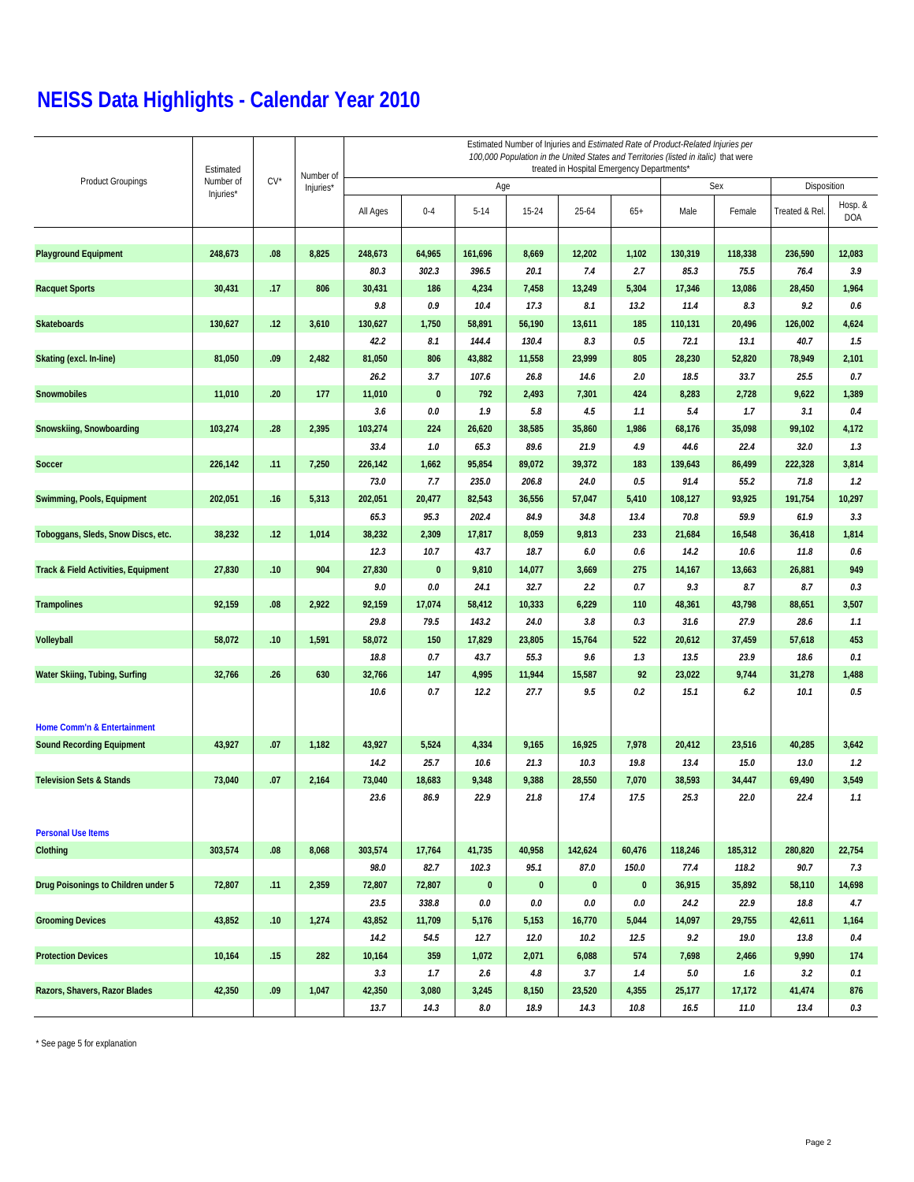|                                                | Estimated              |        | Number of<br>Injuries* | Estimated Number of Injuries and Estimated Rate of Product-Related Injuries per<br>100,000 Population in the United States and Territories (listed in italic) that were<br>treated in Hospital Emergency Departments* |              |           |           |          |           |         |         |                |                       |  |  |
|------------------------------------------------|------------------------|--------|------------------------|-----------------------------------------------------------------------------------------------------------------------------------------------------------------------------------------------------------------------|--------------|-----------|-----------|----------|-----------|---------|---------|----------------|-----------------------|--|--|
| <b>Product Groupings</b>                       | Number of<br>Injuries* | $CV^*$ |                        | Age                                                                                                                                                                                                                   |              |           |           |          |           |         | Sex     | Disposition    |                       |  |  |
|                                                |                        |        |                        | All Ages                                                                                                                                                                                                              | $0 - 4$      | $5 - 14$  | 15-24     | 25-64    | $65+$     | Male    | Female  | Treated & Rel. | Hosp. &<br><b>DOA</b> |  |  |
| <b>Playground Equipment</b>                    | 248,673                | .08    | 8,825                  | 248,673                                                                                                                                                                                                               | 64,965       | 161,696   | 8,669     | 12,202   | 1,102     | 130,319 | 118,338 | 236,590        | 12,083                |  |  |
|                                                |                        |        |                        | 80.3                                                                                                                                                                                                                  | 302.3        | 396.5     | 20.1      | 7.4      | 2.7       | 85.3    | 75.5    | 76.4           | 3.9                   |  |  |
| <b>Racquet Sports</b>                          | 30,431                 | .17    | 806                    | 30,431                                                                                                                                                                                                                | 186          | 4,234     | 7,458     | 13,249   | 5,304     | 17,346  | 13,086  | 28,450         | 1,964                 |  |  |
|                                                |                        |        |                        | 9.8                                                                                                                                                                                                                   | 0.9          | 10.4      | 17.3      | 8.1      | 13.2      | 11.4    | 8.3     | 9.2            | 0.6                   |  |  |
| <b>Skateboards</b>                             | 130,627                | .12    | 3,610                  | 130,627                                                                                                                                                                                                               | 1,750        | 58,891    | 56,190    | 13,611   | 185       | 110,131 | 20,496  | 126,002        | 4,624                 |  |  |
|                                                |                        |        |                        | 42.2                                                                                                                                                                                                                  | 8.1          | 144.4     | 130.4     | 8.3      | 0.5       | 72.1    | 13.1    | 40.7           | 1.5                   |  |  |
| Skating (excl. In-line)                        | 81,050                 | .09    | 2,482                  | 81,050                                                                                                                                                                                                                | 806          | 43,882    | 11,558    | 23,999   | 805       | 28,230  | 52,820  | 78,949         | 2,101                 |  |  |
|                                                |                        |        |                        | 26.2                                                                                                                                                                                                                  | 3.7          | 107.6     | 26.8      | 14.6     | 2.0       | 18.5    | 33.7    | 25.5           | 0.7                   |  |  |
| <b>Snowmobiles</b>                             | 11,010                 | .20    | 177                    | 11,010                                                                                                                                                                                                                | $\mathbf{0}$ | 792       | 2,493     | 7,301    | 424       | 8,283   | 2,728   | 9,622          | 1,389                 |  |  |
|                                                |                        |        |                        | 3.6                                                                                                                                                                                                                   | $0.0\,$      | 1.9       | 5.8       | 4.5      | 1.1       | 5.4     | 1.7     | 3.1            | 0.4                   |  |  |
| Snowskiing, Snowboarding                       | 103,274                | .28    | 2,395                  | 103,274                                                                                                                                                                                                               | 224          | 26,620    | 38,585    | 35,860   | 1,986     | 68,176  | 35,098  | 99,102         | 4,172                 |  |  |
|                                                |                        |        |                        | 33.4                                                                                                                                                                                                                  | 1.0          | 65.3      | 89.6      | 21.9     | 4.9       | 44.6    | 22.4    | 32.0           | 1.3                   |  |  |
| <b>Soccer</b>                                  | 226,142                | .11    | 7,250                  | 226,142                                                                                                                                                                                                               | 1,662        | 95,854    | 89,072    | 39,372   | 183       | 139,643 | 86,499  | 222,328        | 3,814                 |  |  |
|                                                |                        |        |                        | 73.0                                                                                                                                                                                                                  | 7.7          | 235.0     | 206.8     | 24.0     | 0.5       | 91.4    | 55.2    | 71.8           | 1.2                   |  |  |
| Swimming, Pools, Equipment                     | 202,051                | .16    | 5,313                  | 202,051                                                                                                                                                                                                               | 20,477       | 82,543    | 36,556    | 57,047   | 5,410     | 108,127 | 93,925  | 191,754        | 10,297                |  |  |
|                                                |                        |        |                        | 65.3                                                                                                                                                                                                                  | 95.3         | 202.4     | 84.9      | 34.8     | 13.4      | 70.8    | 59.9    | 61.9           | 3.3                   |  |  |
| Toboggans, Sleds, Snow Discs, etc.             | 38,232                 | .12    | 1,014                  | 38,232                                                                                                                                                                                                                | 2,309        | 17,817    | 8,059     | 9,813    | 233       | 21,684  | 16,548  | 36,418         | 1,814                 |  |  |
|                                                |                        |        |                        | 12.3                                                                                                                                                                                                                  | 10.7         | 43.7      | 18.7      | 6.0      | 0.6       | 14.2    | 10.6    | 11.8           | 0.6                   |  |  |
| <b>Track &amp; Field Activities, Equipment</b> | 27,830                 | .10    | 904                    | 27,830                                                                                                                                                                                                                | $\bf{0}$     | 9,810     | 14,077    | 3,669    | 275       | 14,167  | 13,663  | 26,881         | 949                   |  |  |
|                                                |                        |        |                        | 9.0                                                                                                                                                                                                                   | 0.0          | 24.1      | 32.7      | 2.2      | 0.7       | 9.3     | 8.7     | 8.7            | 0.3                   |  |  |
| <b>Trampolines</b>                             | 92,159                 | .08    | 2,922                  | 92,159                                                                                                                                                                                                                | 17,074       | 58,412    | 10,333    | 6,229    | 110       | 48,361  | 43,798  | 88,651         | 3,507                 |  |  |
|                                                |                        |        |                        | 29.8                                                                                                                                                                                                                  | 79.5         | 143.2     | 24.0      | 3.8      | 0.3       | 31.6    | 27.9    | 28.6           | 1.1                   |  |  |
| Volleyball                                     | 58,072                 | .10    | 1,591                  | 58,072                                                                                                                                                                                                                | 150          | 17,829    | 23,805    | 15,764   | 522       | 20,612  | 37,459  | 57,618         | 453                   |  |  |
|                                                |                        |        |                        | 18.8                                                                                                                                                                                                                  | 0.7          | 43.7      | 55.3      | 9.6      | 1.3       | 13.5    | 23.9    | 18.6           | 0.1                   |  |  |
| Water Skiing, Tubing, Surfing                  | 32,766                 | .26    | 630                    | 32,766                                                                                                                                                                                                                | 147          | 4,995     | 11,944    | 15,587   | 92        | 23,022  | 9,744   | 31,278         | 1,488                 |  |  |
|                                                |                        |        |                        | 10.6                                                                                                                                                                                                                  | 0.7          | 12.2      | 27.7      | 9.5      | 0.2       | 15.1    | 6.2     | 10.1           | $0.5\,$               |  |  |
| Home Comm'n & Entertainment                    |                        |        |                        |                                                                                                                                                                                                                       |              |           |           |          |           |         |         |                |                       |  |  |
| <b>Sound Recording Equipment</b>               | 43,927                 | .07    | 1,182                  | 43,927                                                                                                                                                                                                                | 5,524        | 4,334     | 9,165     | 16,925   | 7,978     | 20,412  | 23,516  | 40,285         | 3,642                 |  |  |
|                                                |                        |        |                        | 14.2                                                                                                                                                                                                                  | 25.7         | 10.6      | 21.3      | 10.3     | 19.8      | 13.4    | 15.0    | 13.0           | 1.2                   |  |  |
| <b>Television Sets &amp; Stands</b>            | 73,040                 | .07    | 2,164                  | 73,040                                                                                                                                                                                                                | 18,683       | 9,348     | 9,388     | 28,550   | 7,070     | 38,593  | 34,447  | 69,490         | 3,549                 |  |  |
|                                                |                        |        |                        | 23.6                                                                                                                                                                                                                  | 86.9         | 22.9      | 21.8      | 17.4     | 17.5      | 25.3    | 22.0    | 22.4           | 1.1                   |  |  |
| <b>Personal Use Items</b>                      |                        |        |                        |                                                                                                                                                                                                                       |              |           |           |          |           |         |         |                |                       |  |  |
| Clothing                                       | 303,574                | .08    | 8,068                  | 303,574                                                                                                                                                                                                               | 17,764       | 41,735    | 40,958    | 142,624  | 60,476    | 118,246 | 185,312 | 280,820        | 22,754                |  |  |
|                                                |                        |        |                        | 98.0                                                                                                                                                                                                                  | 82.7         | 102.3     | 95.1      | 87.0     | 150.0     | 77.4    | 118.2   | 90.7           | 7.3                   |  |  |
| Drug Poisonings to Children under 5            | 72,807                 | .11    | 2,359                  | 72,807                                                                                                                                                                                                                | 72,807       | $\pmb{0}$ | $\pmb{0}$ | $\bf{0}$ | $\pmb{0}$ | 36,915  | 35,892  | 58,110         | 14,698                |  |  |
|                                                |                        |        |                        | 23.5                                                                                                                                                                                                                  | 338.8        | $0.0\,$   | $0.0\,$   | $0.0\,$  | $0.0\,$   | 24.2    | 22.9    | 18.8           | 4.7                   |  |  |
| <b>Grooming Devices</b>                        | 43,852                 | .10    | 1,274                  | 43,852                                                                                                                                                                                                                | 11,709       | 5,176     | 5,153     | 16,770   | 5,044     | 14,097  | 29,755  | 42,611         | 1,164                 |  |  |
|                                                |                        |        |                        | 14.2                                                                                                                                                                                                                  | 54.5         | 12.7      | 12.0      | 10.2     | 12.5      | 9.2     | 19.0    | 13.8           | 0.4                   |  |  |
| <b>Protection Devices</b>                      | 10,164                 | .15    | 282                    | 10,164                                                                                                                                                                                                                | 359          | 1,072     | 2,071     | 6,088    | 574       | 7,698   | 2,466   | 9,990          | 174                   |  |  |
|                                                |                        |        |                        | 3.3                                                                                                                                                                                                                   | 1.7          | 2.6       | 4.8       | 3.7      | 1.4       | $5.0$   | 1.6     | 3.2            | 0.1                   |  |  |
| Razors, Shavers, Razor Blades                  | 42,350                 | .09    | 1,047                  | 42,350                                                                                                                                                                                                                | 3,080        | 3,245     | 8,150     | 23,520   | 4,355     | 25,177  | 17,172  | 41,474         | 876                   |  |  |
|                                                |                        |        |                        | 13.7                                                                                                                                                                                                                  | 14.3         | $\it 8.0$ | 18.9      | 14.3     | $10.8\,$  | 16.5    | 11.0    | 13.4           | 0.3                   |  |  |

\* See page 5 for explanation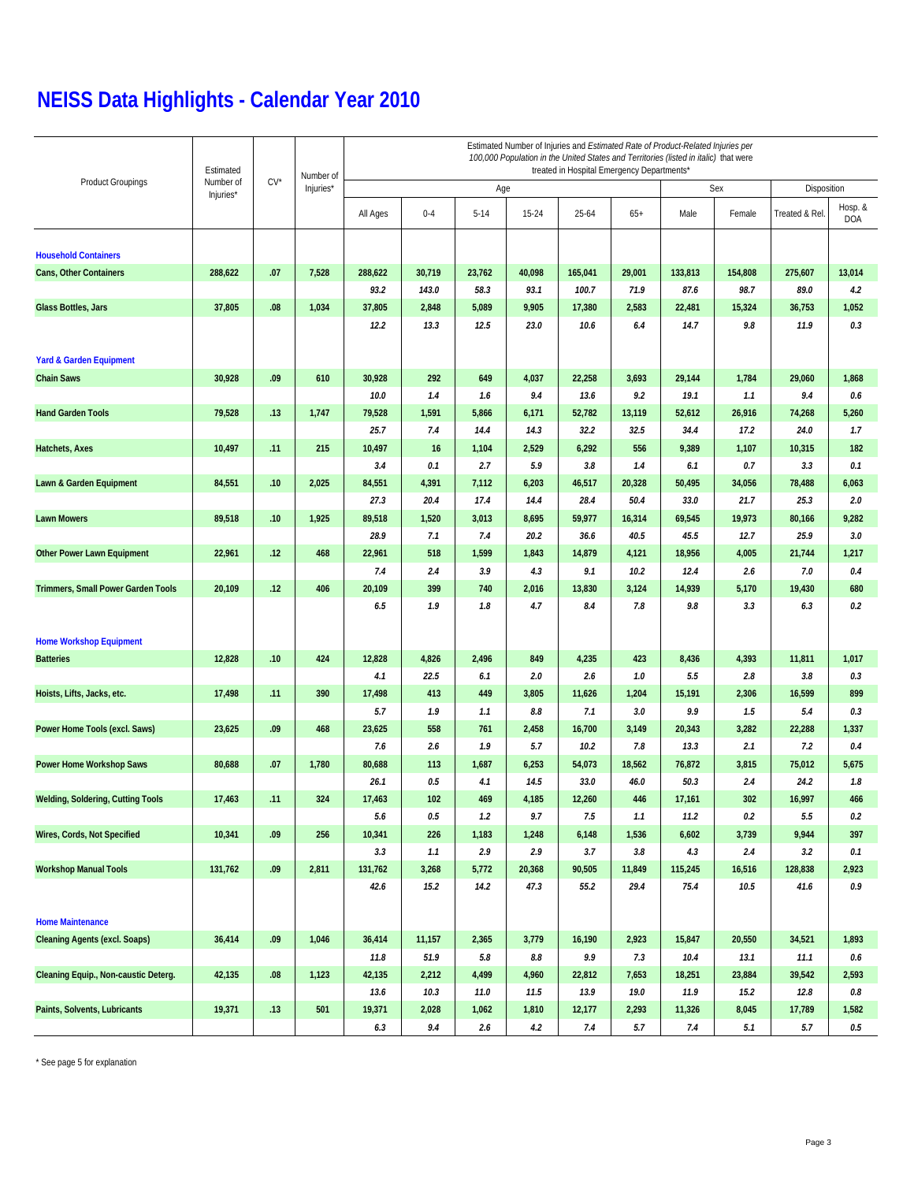|                                          | Estimated |        |           | Estimated Number of Injuries and Estimated Rate of Product-Related Injuries per<br>100,000 Population in the United States and Territories (listed in italic) that were<br>treated in Hospital Emergency Departments* |            |          |           |         |         |         |         |                |                       |  |  |
|------------------------------------------|-----------|--------|-----------|-----------------------------------------------------------------------------------------------------------------------------------------------------------------------------------------------------------------------|------------|----------|-----------|---------|---------|---------|---------|----------------|-----------------------|--|--|
| <b>Product Groupings</b>                 | Number of | $CV^*$ | Number of |                                                                                                                                                                                                                       | Sex<br>Age |          |           |         |         |         |         |                |                       |  |  |
|                                          | Injuries* |        | Injuries* |                                                                                                                                                                                                                       |            |          |           |         |         |         |         | Disposition    |                       |  |  |
|                                          |           |        |           | All Ages                                                                                                                                                                                                              | $0 - 4$    | $5 - 14$ | $15 - 24$ | 25-64   | $65+$   | Male    | Female  | Treated & Rel. | Hosp. &<br><b>DOA</b> |  |  |
| <b>Household Containers</b>              |           |        |           |                                                                                                                                                                                                                       |            |          |           |         |         |         |         |                |                       |  |  |
| Cans, Other Containers                   | 288,622   | .07    | 7,528     | 288,622                                                                                                                                                                                                               | 30,719     | 23,762   | 40,098    | 165,041 | 29,001  | 133,813 | 154,808 | 275,607        | 13,014                |  |  |
|                                          |           |        |           | 93.2                                                                                                                                                                                                                  | 143.0      | 58.3     | 93.1      | 100.7   | 71.9    | 87.6    | 98.7    | 89.0           | 4.2                   |  |  |
| Glass Bottles, Jars                      | 37,805    | .08    | 1,034     | 37,805                                                                                                                                                                                                                | 2,848      | 5,089    | 9,905     | 17,380  | 2,583   | 22,481  | 15,324  | 36,753         | 1,052                 |  |  |
|                                          |           |        |           | 12.2                                                                                                                                                                                                                  | 13.3       | 12.5     | 23.0      | 10.6    | 6.4     | 14.7    | 9.8     | 11.9           | 0.3                   |  |  |
| <b>Yard &amp; Garden Equipment</b>       |           |        |           |                                                                                                                                                                                                                       |            |          |           |         |         |         |         |                |                       |  |  |
| <b>Chain Saws</b>                        | 30,928    | .09    | 610       | 30,928                                                                                                                                                                                                                | 292        | 649      | 4,037     | 22,258  | 3,693   | 29,144  | 1,784   | 29,060         | 1,868                 |  |  |
|                                          |           |        |           | 10.0                                                                                                                                                                                                                  | 1.4        | 1.6      | 9.4       | 13.6    | 9.2     | 19.1    | 1.1     | 9.4            | $0.6\,$               |  |  |
| <b>Hand Garden Tools</b>                 | 79,528    | .13    | 1,747     | 79,528                                                                                                                                                                                                                | 1,591      | 5,866    | 6,171     | 52,782  | 13,119  | 52,612  | 26,916  | 74,268         | 5,260                 |  |  |
|                                          |           |        |           | 25.7                                                                                                                                                                                                                  | 7.4        | 14.4     | 14.3      | 32.2    | 32.5    | 34.4    | 17.2    | 24.0           | 1.7                   |  |  |
| Hatchets, Axes                           | 10,497    | .11    | 215       | 10,497                                                                                                                                                                                                                | 16         | 1,104    | 2,529     | 6,292   | 556     | 9,389   | 1,107   | 10,315         | 182                   |  |  |
|                                          |           |        |           | 3.4                                                                                                                                                                                                                   | 0.1        | 2.7      | 5.9       | 3.8     | 1.4     | 6.1     | 0.7     | 3.3            | 0.1                   |  |  |
| Lawn & Garden Equipment                  | 84,551    | .10    | 2,025     | 84,551                                                                                                                                                                                                                | 4,391      | 7,112    | 6,203     | 46,517  | 20,328  | 50,495  | 34,056  | 78,488         | 6,063                 |  |  |
|                                          |           |        |           | 27.3                                                                                                                                                                                                                  | 20.4       | 17.4     | 14.4      | 28.4    | 50.4    | 33.0    | 21.7    | 25.3           | 2.0                   |  |  |
| <b>Lawn Mowers</b>                       | 89,518    | .10    | 1,925     | 89,518                                                                                                                                                                                                                | 1,520      | 3,013    | 8,695     | 59,977  | 16,314  | 69,545  | 19,973  | 80,166         | 9,282                 |  |  |
|                                          |           |        |           | 28.9                                                                                                                                                                                                                  | 7.1        | 7.4      | 20.2      | 36.6    | 40.5    | 45.5    | 12.7    | 25.9           | 3.0                   |  |  |
| <b>Other Power Lawn Equipment</b>        | 22,961    | .12    | 468       | 22,961                                                                                                                                                                                                                | 518        | 1,599    | 1,843     | 14,879  | 4,121   | 18,956  | 4,005   | 21,744         | 1,217                 |  |  |
|                                          |           |        |           | 7.4                                                                                                                                                                                                                   | 2.4        | 3.9      | 4.3       | 9.1     | 10.2    | 12.4    | 2.6     | 7.0            | 0.4                   |  |  |
| Trimmers, Small Power Garden Tools       | 20,109    | .12    | 406       | 20,109                                                                                                                                                                                                                | 399        | 740      | 2,016     | 13,830  | 3,124   | 14,939  | 5,170   | 19,430         | 680                   |  |  |
|                                          |           |        |           | 6.5                                                                                                                                                                                                                   | 1.9        | 1.8      | 4.7       | 8.4     | 7.8     | 9.8     | 3.3     | 6.3            | 0.2                   |  |  |
|                                          |           |        |           |                                                                                                                                                                                                                       |            |          |           |         |         |         |         |                |                       |  |  |
| <b>Home Workshop Equipment</b>           |           |        |           |                                                                                                                                                                                                                       |            |          |           |         |         |         |         |                |                       |  |  |
| <b>Batteries</b>                         | 12,828    | .10    | 424       | 12,828                                                                                                                                                                                                                | 4,826      | 2,496    | 849       | 4,235   | 423     | 8,436   | 4,393   | 11,811         | 1,017                 |  |  |
|                                          |           |        |           | 4.1                                                                                                                                                                                                                   | 22.5       | 6.1      | 2.0       | 2.6     | 1.0     | 5.5     | 2.8     | 3.8            | 0.3                   |  |  |
| Hoists, Lifts, Jacks, etc.               | 17,498    | .11    | 390       | 17,498                                                                                                                                                                                                                | 413        | 449      | 3,805     | 11,626  | 1,204   | 15,191  | 2,306   | 16,599         | 899                   |  |  |
|                                          |           |        |           | 5.7                                                                                                                                                                                                                   | 1.9        | 1.1      | 8.8       | 7.1     | 3.0     | 9.9     | 1.5     | 5.4            | 0.3                   |  |  |
| Power Home Tools (excl. Saws)            | 23,625    | .09    | 468       | 23,625                                                                                                                                                                                                                | 558        | 761      | 2,458     | 16,700  | 3,149   | 20,343  | 3,282   | 22,288         | 1,337                 |  |  |
|                                          |           |        |           | 7.6                                                                                                                                                                                                                   | 2.6        | 1.9      | 5.7       | 10.2    | 7.8     | 13.3    | 2.1     | 7.2            | 0.4                   |  |  |
| Power Home Workshop Saws                 | 80,688    | .07    | 1,780     | 80,688                                                                                                                                                                                                                | 113        | 1,687    | 6,253     | 54,073  | 18,562  | 76,872  | 3,815   | 75,012         | 5,675                 |  |  |
|                                          |           |        |           | 26.1                                                                                                                                                                                                                  | 0.5        | 4.1      | 14.5      | 33.0    | 46.0    | 50.3    | 2.4     | 24.2           | 1.8                   |  |  |
| <b>Welding, Soldering, Cutting Tools</b> | 17,463    | .11    | 324       | 17,463                                                                                                                                                                                                                | 102        | 469      | 4,185     | 12,260  | 446     | 17,161  | 302     | 16,997         | 466                   |  |  |
|                                          |           |        |           | 5.6                                                                                                                                                                                                                   | $0.5\,$    | 1.2      | 9.7       | 7.5     | 1.1     | 11.2    | 0.2     | 5.5            | 0.2                   |  |  |
| Wires, Cords, Not Specified              | 10,341    | .09    | 256       | 10,341                                                                                                                                                                                                                | 226        | 1,183    | 1,248     | 6,148   | 1,536   | 6,602   | 3,739   | 9,944          | 397                   |  |  |
|                                          |           |        |           | 3.3                                                                                                                                                                                                                   | 1.1        | 2.9      | 2.9       | 3.7     | $3.8\,$ | 4.3     | 2.4     | 3.2            | 0.1                   |  |  |
| <b>Workshop Manual Tools</b>             | 131,762   | .09    | 2,811     | 131,762                                                                                                                                                                                                               | 3,268      | 5,772    | 20,368    | 90,505  | 11,849  | 115,245 | 16,516  | 128,838        | 2,923                 |  |  |
|                                          |           |        |           | 42.6                                                                                                                                                                                                                  | 15.2       | 14.2     | 47.3      | 55.2    | 29.4    | 75.4    | 10.5    | 41.6           | 0.9                   |  |  |
| <b>Home Maintenance</b>                  |           |        |           |                                                                                                                                                                                                                       |            |          |           |         |         |         |         |                |                       |  |  |
| <b>Cleaning Agents (excl. Soaps)</b>     | 36,414    | .09    | 1,046     | 36,414                                                                                                                                                                                                                | 11,157     | 2,365    | 3,779     | 16,190  | 2,923   | 15,847  | 20,550  | 34,521         | 1,893                 |  |  |
|                                          |           |        |           | 11.8                                                                                                                                                                                                                  | 51.9       | 5.8      | $8.8\,$   | 9.9     | 7.3     | 10.4    | 13.1    | 11.1           | $0.6\,$               |  |  |
| Cleaning Equip., Non-caustic Deterg.     | 42,135    | .08    | 1,123     | 42,135                                                                                                                                                                                                                | 2,212      | 4,499    | 4,960     | 22,812  | 7,653   | 18,251  | 23,884  | 39,542         | 2,593                 |  |  |
|                                          |           |        |           | 13.6                                                                                                                                                                                                                  | 10.3       | 11.0     | 11.5      | 13.9    | 19.0    | 11.9    | 15.2    | 12.8           | 0.8                   |  |  |
| Paints, Solvents, Lubricants             | 19,371    | .13    | 501       | 19,371                                                                                                                                                                                                                | 2,028      | 1,062    | 1,810     | 12,177  | 2,293   | 11,326  | 8,045   | 17,789         | 1,582                 |  |  |
|                                          |           |        |           | 6.3                                                                                                                                                                                                                   | 9.4        | 2.6      | $4.2\,$   | 7.4     | 5.7     | 7.4     | 5.1     | 5.7            | $0.5\,$               |  |  |

\* See page 5 for explanation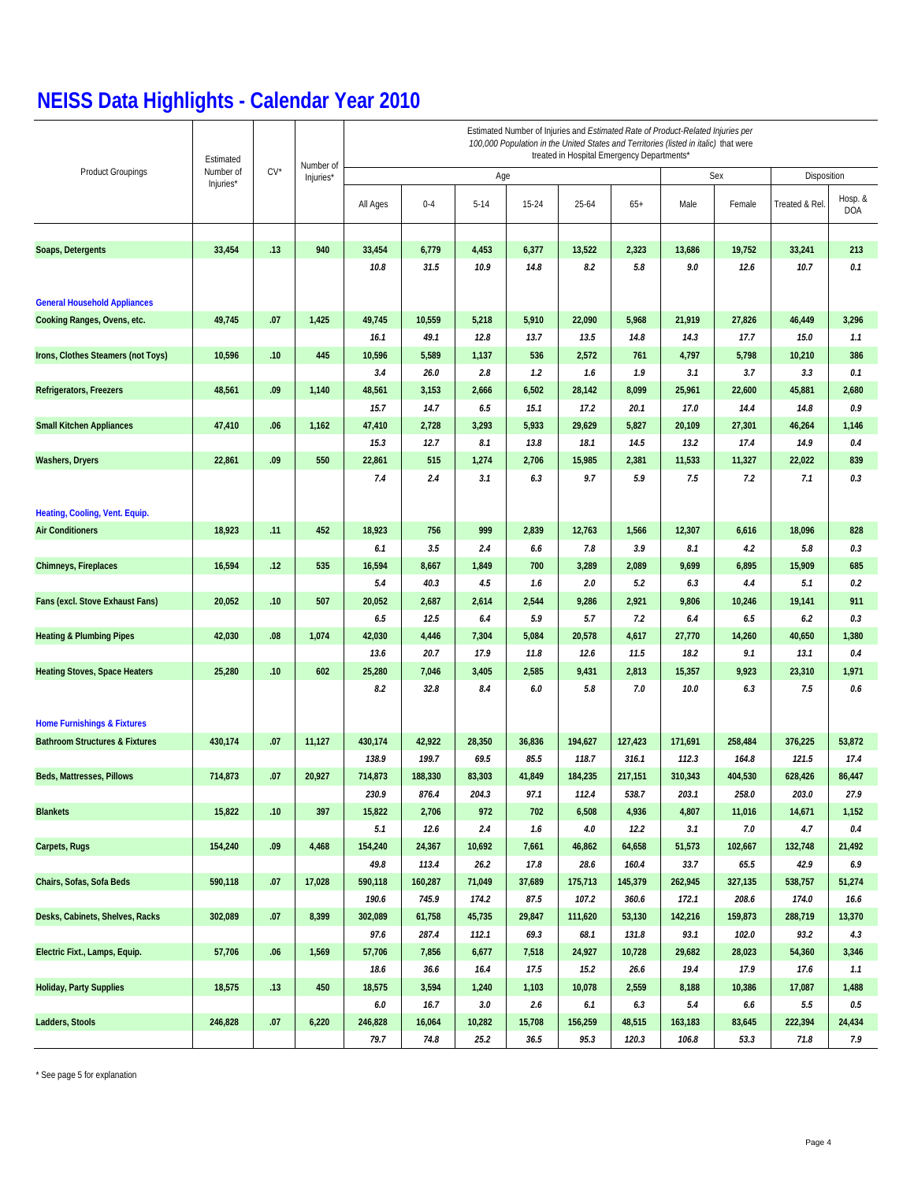|                                           | Estimated | $CV^*$ | Number of<br>Injuries* | Estimated Number of Injuries and Estimated Rate of Product-Related Injuries per<br>100,000 Population in the United States and Territories (listed in italic) that were<br>treated in Hospital Emergency Departments* |               |            |            |              |               |              |               |                |                       |  |  |
|-------------------------------------------|-----------|--------|------------------------|-----------------------------------------------------------------------------------------------------------------------------------------------------------------------------------------------------------------------|---------------|------------|------------|--------------|---------------|--------------|---------------|----------------|-----------------------|--|--|
| <b>Product Groupings</b>                  | Number of |        |                        |                                                                                                                                                                                                                       |               | Age        |            |              |               | Sex          | Disposition   |                |                       |  |  |
|                                           | Injuries* |        |                        | All Ages                                                                                                                                                                                                              | $0 - 4$       | $5 - 14$   | $15 - 24$  | $25 - 64$    | $65+$         | Male         | Female        | Treated & Rel. | Hosp. &<br><b>DOA</b> |  |  |
| Soaps, Detergents                         | 33,454    | .13    | 940                    | 33,454                                                                                                                                                                                                                | 6,779         | 4,453      | 6,377      | 13,522       | 2,323         | 13,686       | 19,752        | 33,241         | 213                   |  |  |
|                                           |           |        |                        | 10.8                                                                                                                                                                                                                  | 31.5          | 10.9       | 14.8       | 8.2          | 5.8           | 9.0          | 12.6          | 10.7           | 0.1                   |  |  |
| <b>General Household Appliances</b>       |           |        |                        |                                                                                                                                                                                                                       |               |            |            |              |               |              |               |                |                       |  |  |
| Cooking Ranges, Ovens, etc.               | 49,745    | .07    | 1,425                  | 49,745                                                                                                                                                                                                                | 10,559        | 5,218      | 5,910      | 22,090       | 5,968         | 21,919       | 27,826        | 46,449         | 3,296                 |  |  |
|                                           |           |        |                        | 16.1                                                                                                                                                                                                                  | 49.1          | 12.8       | 13.7       | 13.5         | 14.8          | 14.3         | 17.7          | 15.0           | 1.1                   |  |  |
| Irons, Clothes Steamers (not Toys)        | 10,596    | .10    | 445                    | 10,596                                                                                                                                                                                                                | 5,589         | 1,137      | 536        | 2,572        | 761           | 4,797        | 5,798         | 10,210         | 386                   |  |  |
|                                           |           |        |                        | 3.4                                                                                                                                                                                                                   | 26.0          | 2.8        | 1.2        | 1.6          | 1.9           | 3.1          | 3.7           | 3.3            | 0.1                   |  |  |
| Refrigerators, Freezers                   | 48,561    | .09    | 1,140                  | 48,561                                                                                                                                                                                                                | 3,153         | 2,666      | 6,502      | 28,142       | 8,099         | 25,961       | 22,600        | 45,881         | 2,680                 |  |  |
|                                           |           |        |                        | 15.7                                                                                                                                                                                                                  | 14.7          | 6.5        | 15.1       | 17.2         | 20.1          | 17.0         | 14.4          | 14.8           | 0.9                   |  |  |
| <b>Small Kitchen Appliances</b>           | 47,410    | .06    | 1,162                  | 47,410                                                                                                                                                                                                                | 2,728         | 3,293      | 5,933      | 29,629       | 5,827         | 20,109       | 27,301        | 46,264         | 1,146                 |  |  |
|                                           |           |        |                        | 15.3                                                                                                                                                                                                                  | 12.7          | 8.1        | 13.8       | 18.1         | 14.5          | 13.2         | 17.4          | 14.9           | 0.4                   |  |  |
| <b>Washers, Dryers</b>                    | 22,861    | .09    | 550                    | 22,861                                                                                                                                                                                                                | 515           | 1,274      | 2,706      | 15,985       | 2,381         | 11,533       | 11,327        | 22,022         | 839                   |  |  |
|                                           |           |        |                        | 7.4                                                                                                                                                                                                                   | 2.4           | 3.1        | 6.3        | 9.7          | 5.9           | 7.5          | 7.2           | 7.1            | 0.3                   |  |  |
| Heating, Cooling, Vent. Equip.            |           |        |                        |                                                                                                                                                                                                                       |               |            |            |              |               |              |               |                |                       |  |  |
| <b>Air Conditioners</b>                   | 18,923    | .11    | 452                    | 18,923                                                                                                                                                                                                                | 756           | 999        | 2,839      | 12,763       | 1,566         | 12,307       | 6,616         | 18,096         | 828                   |  |  |
|                                           |           |        |                        | 6.1                                                                                                                                                                                                                   | 3.5           | 2.4        | 6.6        | 7.8          | 3.9           | 8.1          | 4.2           | 5.8            | 0.3                   |  |  |
| Chimneys, Fireplaces                      | 16,594    | .12    | 535                    | 16,594                                                                                                                                                                                                                | 8,667         | 1,849      | 700        | 3,289        | 2,089         | 9,699        | 6,895         | 15,909         | 685                   |  |  |
|                                           |           |        |                        | 5.4                                                                                                                                                                                                                   | 40.3          | 4.5        | 1.6        | 2.0          | 5.2           | 6.3          | 4.4           | 5.1            | 0.2                   |  |  |
| Fans (excl. Stove Exhaust Fans)           | 20,052    | .10    | 507                    | 20,052                                                                                                                                                                                                                | 2,687         | 2,614      | 2,544      | 9,286        | 2,921         | 9,806        | 10,246        | 19,141         | 911                   |  |  |
|                                           |           |        |                        | 6.5                                                                                                                                                                                                                   | 12.5          | 6.4        | 5.9        | 5.7          | 7.2           | 6.4          | 6.5           | 6.2            | 0.3                   |  |  |
| <b>Heating &amp; Plumbing Pipes</b>       | 42,030    | .08    | 1,074                  | 42,030                                                                                                                                                                                                                | 4,446         | 7,304      | 5,084      | 20,578       | 4,617         | 27,770       | 14,260        | 40,650         | 1,380                 |  |  |
|                                           |           |        |                        | 13.6                                                                                                                                                                                                                  | 20.7          | 17.9       | 11.8       | 12.6         | 11.5          | 18.2         | 9.1           | 13.1           | 0.4                   |  |  |
| <b>Heating Stoves, Space Heaters</b>      | 25,280    | .10    | 602                    | 25,280                                                                                                                                                                                                                | 7,046         | 3,405      | 2,585      | 9,431        | 2,813         | 15,357       | 9,923         | 23,310         | 1,971                 |  |  |
|                                           |           |        |                        | 8.2                                                                                                                                                                                                                   | 32.8          | 8.4        | 6.0        | 5.8          | 7.0           | 10.0         | 6.3           | 7.5            | 0.6                   |  |  |
| <b>Home Furnishings &amp; Fixtures</b>    |           |        |                        |                                                                                                                                                                                                                       |               |            |            |              |               |              |               |                |                       |  |  |
| <b>Bathroom Structures &amp; Fixtures</b> | 430,174   | .07    | 11,127                 | 430,174                                                                                                                                                                                                               | 42,922        | 28,350     | 36,836     | 194,627      | 127,423       | 171,691      | 258,484       | 376,225        | 53,872                |  |  |
|                                           |           |        |                        | 138.9                                                                                                                                                                                                                 | 199.7         | 69.5       | 85.5       | 118.7        | 316.1         | 112.3        | 164.8         | 121.5          | 17.4                  |  |  |
| Beds, Mattresses, Pillows                 | 714,873   | .07    | 20,927                 | 714,873                                                                                                                                                                                                               | 188,330       | 83,303     | 41,849     | 184,235      | 217,151       | 310,343      | 404,530       | 628,426        | 86,447                |  |  |
|                                           |           |        |                        | 230.9                                                                                                                                                                                                                 | 876.4         | 204.3      | 97.1       | 112.4        | 538.7         | 203.1        | 258.0         | 203.0          | 27.9                  |  |  |
| <b>Blankets</b>                           | 15,822    | .10    | 397                    | 15,822<br>5.1                                                                                                                                                                                                         | 2,706<br>12.6 | 972<br>2.4 | 702<br>1.6 | 6,508<br>4.0 | 4,936<br>12.2 | 4,807<br>3.1 | 11,016<br>7.0 | 14,671<br>4.7  | 1,152<br>0.4          |  |  |
| Carpets, Rugs                             | 154,240   | .09    | 4,468                  | 154,240                                                                                                                                                                                                               | 24,367        | 10,692     | 7,661      | 46,862       | 64,658        | 51,573       | 102,667       | 132,748        | 21,492                |  |  |
|                                           |           |        |                        | 49.8                                                                                                                                                                                                                  | 113.4         | 26.2       | 17.8       | 28.6         | 160.4         | 33.7         | 65.5          | 42.9           | 6.9                   |  |  |
| Chairs, Sofas, Sofa Beds                  | 590,118   | .07    | 17,028                 | 590,118                                                                                                                                                                                                               | 160,287       | 71,049     | 37,689     | 175,713      | 145,379       | 262,945      | 327,135       | 538,757        | 51,274                |  |  |
|                                           |           |        |                        | 190.6                                                                                                                                                                                                                 | 745.9         | 174.2      | 87.5       | 107.2        | 360.6         | 172.1        | 208.6         | 174.0          | 16.6                  |  |  |
| Desks, Cabinets, Shelves, Racks           | 302,089   | .07    | 8,399                  | 302,089                                                                                                                                                                                                               | 61,758        | 45,735     | 29,847     | 111,620      | 53,130        | 142,216      | 159,873       | 288,719        | 13,370                |  |  |
|                                           |           |        |                        | 97.6                                                                                                                                                                                                                  | 287.4         | 112.1      | 69.3       | 68.1         | 131.8         | 93.1         | 102.0         | 93.2           | 4.3                   |  |  |
| Electric Fixt., Lamps, Equip.             | 57,706    | .06    | 1,569                  | 57,706                                                                                                                                                                                                                | 7,856         | 6,677      | 7,518      | 24,927       | 10,728        | 29,682       | 28,023        | 54,360         | 3,346                 |  |  |
|                                           |           |        |                        | 18.6                                                                                                                                                                                                                  | 36.6          | 16.4       | 17.5       | 15.2         | 26.6          | 19.4         | 17.9          | 17.6           | 1.1                   |  |  |
| <b>Holiday, Party Supplies</b>            | 18,575    | .13    | 450                    | 18,575                                                                                                                                                                                                                | 3,594         | 1,240      | 1,103      | 10,078       | 2,559         | 8,188        | 10,386        | 17,087         | 1,488                 |  |  |
|                                           |           |        |                        | $6.0\,$                                                                                                                                                                                                               | 16.7          | 3.0        | 2.6        | 6.1          | 6.3           | 5.4          | 6.6           | 5.5            | 0.5                   |  |  |
| Ladders, Stools                           | 246,828   | .07    | 6,220                  | 246,828                                                                                                                                                                                                               | 16,064        | 10,282     | 15,708     | 156,259      | 48,515        | 163,183      | 83,645        | 222,394        | 24,434                |  |  |
|                                           |           |        |                        | 79.7                                                                                                                                                                                                                  | 74.8          | 25.2       | 36.5       | 95.3         | 120.3         | 106.8        | 53.3          | 71.8           | 7.9                   |  |  |

\* See page 5 for explanation